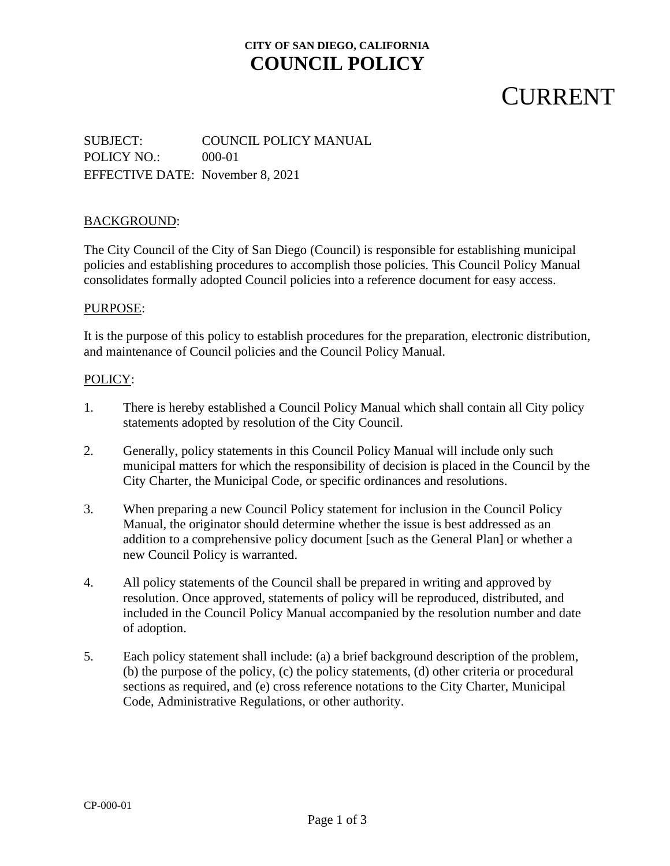### **CITY OF SAN DIEGO, CALIFORNIA COUNCIL POLICY**

## **CURRENT**

SUBJECT: COUNCIL POLICY MANUAL POLICY NO.: 000-01 EFFECTIVE DATE: November 8, 2021

### BACKGROUND:

The City Council of the City of San Diego (Council) is responsible for establishing municipal policies and establishing procedures to accomplish those policies. This Council Policy Manual consolidates formally adopted Council policies into a reference document for easy access.

#### PURPOSE:

It is the purpose of this policy to establish procedures for the preparation, electronic distribution, and maintenance of Council policies and the Council Policy Manual.

#### POLICY:

- 1. There is hereby established a Council Policy Manual which shall contain all City policy statements adopted by resolution of the City Council.
- 2. Generally, policy statements in this Council Policy Manual will include only such municipal matters for which the responsibility of decision is placed in the Council by the City Charter, the Municipal Code, or specific ordinances and resolutions.
- 3. When preparing a new Council Policy statement for inclusion in the Council Policy Manual, the originator should determine whether the issue is best addressed as an addition to a comprehensive policy document [such as the General Plan] or whether a new Council Policy is warranted.
- 4. All policy statements of the Council shall be prepared in writing and approved by resolution. Once approved, statements of policy will be reproduced, distributed, and included in the Council Policy Manual accompanied by the resolution number and date of adoption.
- 5. Each policy statement shall include: (a) a brief background description of the problem, (b) the purpose of the policy, (c) the policy statements, (d) other criteria or procedural sections as required, and (e) cross reference notations to the City Charter, Municipal Code, Administrative Regulations, or other authority.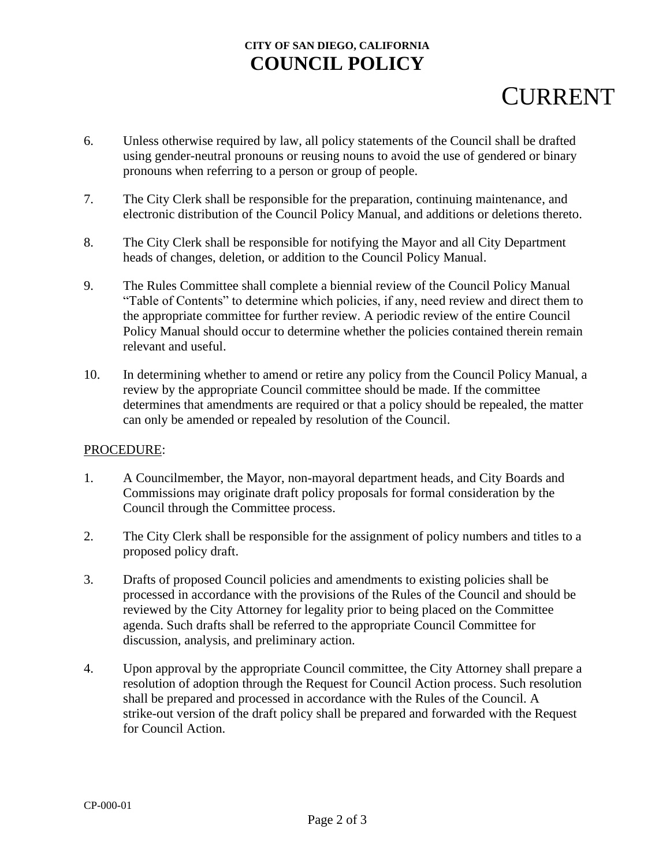## **CITY OF SAN DIEGO, CALIFORNIA COUNCIL POLICY**

# **CURRENT**

- 6. Unless otherwise required by law, all policy statements of the Council shall be drafted using gender-neutral pronouns or reusing nouns to avoid the use of gendered or binary pronouns when referring to a person or group of people.
- 7. The City Clerk shall be responsible for the preparation, continuing maintenance, and electronic distribution of the Council Policy Manual, and additions or deletions thereto.
- 8. The City Clerk shall be responsible for notifying the Mayor and all City Department heads of changes, deletion, or addition to the Council Policy Manual.
- 9. The Rules Committee shall complete a biennial review of the Council Policy Manual "Table of Contents" to determine which policies, if any, need review and direct them to the appropriate committee for further review. A periodic review of the entire Council Policy Manual should occur to determine whether the policies contained therein remain relevant and useful.
- 10. In determining whether to amend or retire any policy from the Council Policy Manual, a review by the appropriate Council committee should be made. If the committee determines that amendments are required or that a policy should be repealed, the matter can only be amended or repealed by resolution of the Council.

### PROCEDURE:

- 1. A Councilmember, the Mayor, non-mayoral department heads, and City Boards and Commissions may originate draft policy proposals for formal consideration by the Council through the Committee process.
- 2. The City Clerk shall be responsible for the assignment of policy numbers and titles to a proposed policy draft.
- 3. Drafts of proposed Council policies and amendments to existing policies shall be processed in accordance with the provisions of the Rules of the Council and should be reviewed by the City Attorney for legality prior to being placed on the Committee agenda. Such drafts shall be referred to the appropriate Council Committee for discussion, analysis, and preliminary action.
- 4. Upon approval by the appropriate Council committee, the City Attorney shall prepare a resolution of adoption through the Request for Council Action process. Such resolution shall be prepared and processed in accordance with the Rules of the Council. A strike-out version of the draft policy shall be prepared and forwarded with the Request for Council Action.